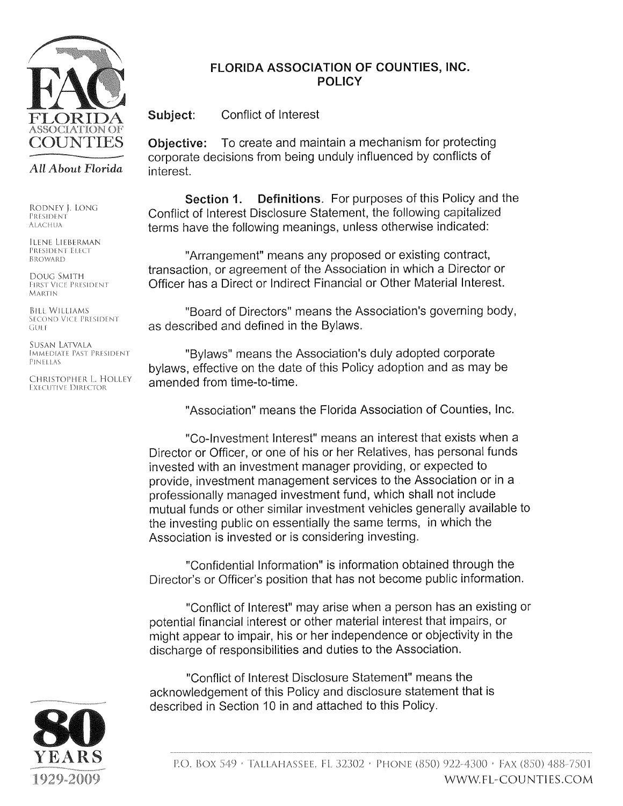

## FLORIDA ASSOCIATION OF COUNTIES, INC. **POLICY**

Subject: Conflict of Interest

To create and maintain a mechanism for protecting Objective: corporate decisions from being unduly influenced by conflicts of interest.

Section 1. **Definitions.** For purposes of this Policy and the Conflict of Interest Disclosure Statement, the following capitalized terms have the following meanings, unless otherwise indicated:

"Arrangement" means any proposed or existing contract, transaction, or agreement of the Association in which a Director or Officer has a Direct or Indirect Financial or Other Material Interest.

"Board of Directors" means the Association's governing body, as described and defined in the Bylaws.

"Bylaws" means the Association's duly adopted corporate bylaws, effective on the date of this Policy adoption and as may be amended from time-to-time.

"Association" means the Florida Association of Counties, Inc.

"Co-Investment Interest" means an interest that exists when a Director or Officer, or one of his or her Relatives, has personal funds invested with an investment manager providing, or expected to provide, investment management services to the Association or in a professionally managed investment fund, which shall not include mutual funds or other similar investment vehicles generally available to the investing public on essentially the same terms, in which the Association is invested or is considering investing.

"Confidential Information" is information obtained through the Director's or Officer's position that has not become public information.

"Conflict of Interest" may arise when a person has an existing or potential financial interest or other material interest that impairs, or might appear to impair, his or her independence or objectivity in the discharge of responsibilities and duties to the Association.

"Conflict of Interest Disclosure Statement" means the acknowledgement of this Policy and disclosure statement that is described in Section 10 in and attached to this Policy.



All About Florida

RODNEY J. LONG PRESIDENT **ALACHUA** 

ILENE LIEBERMAN PRESIDENT ELECT BROWARD

DOUG SMITH FIRST VICE PRESIDENT **MARTIN** 

**BILL WILLIAMS** SECOND VICE PRESIDENT GULF

SUSAN LATVALA **IMMEDIATE PAST PRESIDENT** PINFITAS

CHRISTOPHER L. HOLLEY **EXECUTIVE DIRECTOR**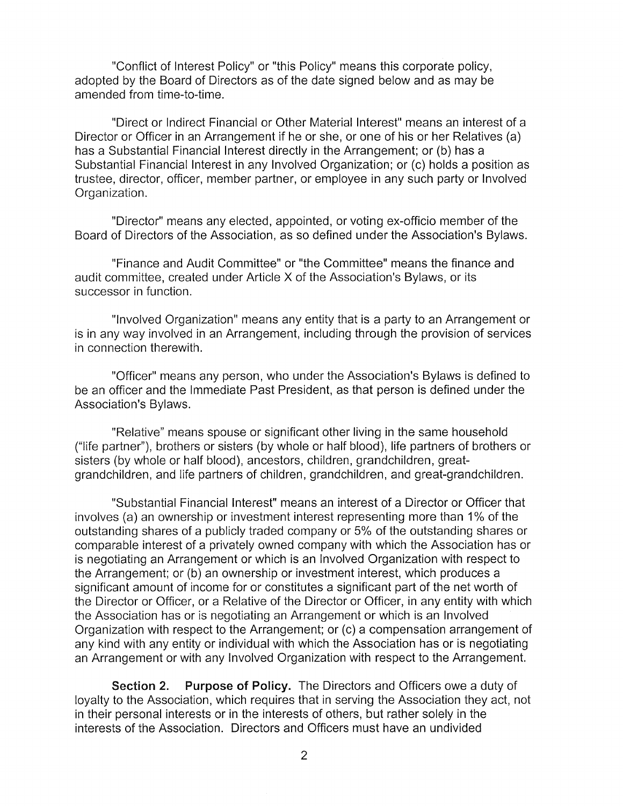"Conflict of Interest Policy" or "this Policy" means this corporate policy, adopted by the Board of Directors as of the date signed below and as may be amended from time-to-time.

"Direct or Indirect Financial or Other Material Interest" means an interest of a Director or Officer in an Arrangement if he or she, or one of his or her Relatives (a) has a Substantial Financial Interest directly in the Arrangement; or (b) has a Substantial Financial Interest in any Involved Organization; or (c) holds a position as trustee, director, officer, member partner, or employee in any such party or Involved Organization.

"Director" means any elected, appointed, or voting ex-officio member of the Board of Directors of the Association, as so defined under the Association's Bylaws.

"Finance and Audit Committee" or "the Committee" means the finance and audit committee, created under Article X of the Association's Bylaws, or its successor in function.

"Involved Organization" means any entity that is a party to an Arrangement or is in any way involved in an Arrangement, including through the provision of services in connection therewith.

"Officer" means any person, who under the Association's Bylaws is defined to be an officer and the Immediate Past President, as that person is defined under the Association's Bylaws.

"Relative" means spouse or significant other living in the same household ("life partner"), brothers or sisters (by whole or half blood), life partners of brothers or sisters (by whole or half blood), ancestors, children, grandchildren, greatgrandchildren, and life partners of children, grandchildren, and great-grandchildren.

"Substantial Financial Interest" means an interest of a Director or Officer that involves (a) an ownership or investment interest representing more than 1% of the outstanding shares of a publicly traded company or 5% of the outstanding shares or comparable interest of a privately owned company with which the Association has or is negotiating an Arrangement or which is an Involved Organization with respect to the Arrangement; or (b) an ownership or investment interest, which produces a significant amount of income for or constitutes a significant part of the net worth of the Director or Officer, or a Relative of the Director or Officer, in any entity with which the Association has or is negotiating an Arrangement or which is an Involved Organization with respect to the Arrangement; or (c) a compensation arrangement of any kind with any entity or individual with which the Association has or is negotiating an Arrangement or with any Involved Organization with respect to the Arrangement.

**Purpose of Policy.** The Directors and Officers owe a duty of Section 2. loyalty to the Association, which requires that in serving the Association they act, not in their personal interests or in the interests of others, but rather solely in the interests of the Association. Directors and Officers must have an undivided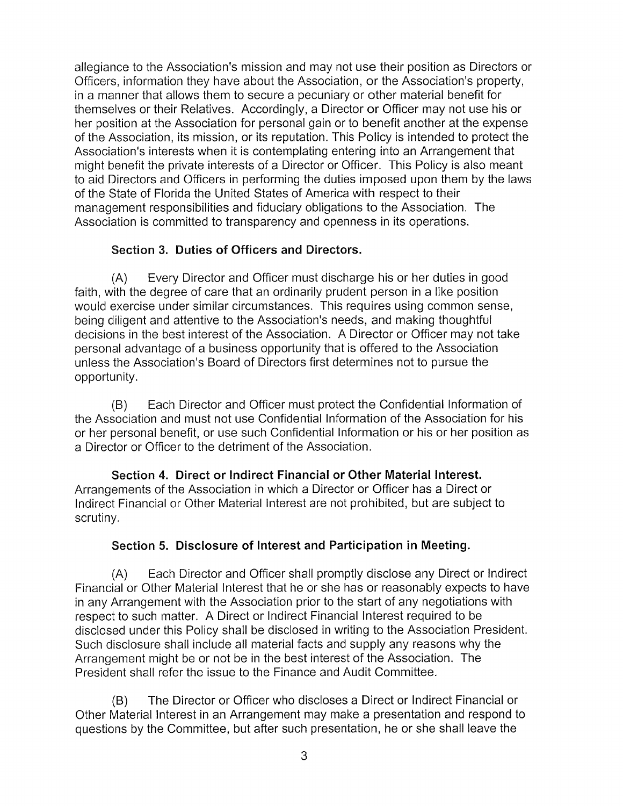allegiance to the Association's mission and may not use their position as Directors or Officers, information they have about the Association, or the Association's property, in a manner that allows them to secure a pecuniary or other material benefit for themselves or their Relatives. Accordingly, a Director or Officer may not use his or her position at the Association for personal gain or to benefit another at the expense of the Association, its mission, or its reputation. This Policy is intended to protect the Association's interests when it is contemplating entering into an Arrangement that might benefit the private interests of a Director or Officer. This Policy is also meant to aid Directors and Officers in performing the duties imposed upon them by the laws of the State of Florida the United States of America with respect to their management responsibilities and fiduciary obligations to the Association. The Association is committed to transparency and openness in its operations.

## Section 3. Duties of Officers and Directors.

Every Director and Officer must discharge his or her duties in good  $(A)$ faith, with the degree of care that an ordinarily prudent person in a like position would exercise under similar circumstances. This requires using common sense, being diligent and attentive to the Association's needs, and making thoughtful decisions in the best interest of the Association. A Director or Officer may not take personal advantage of a business opportunity that is offered to the Association unless the Association's Board of Directors first determines not to pursue the opportunity.

Each Director and Officer must protect the Confidential Information of  $(B)$ the Association and must not use Confidential Information of the Association for his or her personal benefit, or use such Confidential Information or his or her position as a Director or Officer to the detriment of the Association.

Section 4. Direct or Indirect Financial or Other Material Interest. Arrangements of the Association in which a Director or Officer has a Direct or Indirect Financial or Other Material Interest are not prohibited, but are subject to scrutiny.

## Section 5. Disclosure of Interest and Participation in Meeting.

Each Director and Officer shall promptly disclose any Direct or Indirect  $(A)$ Financial or Other Material Interest that he or she has or reasonably expects to have in any Arrangement with the Association prior to the start of any negotiations with respect to such matter. A Direct or Indirect Financial Interest required to be disclosed under this Policy shall be disclosed in writing to the Association President. Such disclosure shall include all material facts and supply any reasons why the Arrangement might be or not be in the best interest of the Association. The President shall refer the issue to the Finance and Audit Committee.

The Director or Officer who discloses a Direct or Indirect Financial or  $(B)$ Other Material Interest in an Arrangement may make a presentation and respond to questions by the Committee, but after such presentation, he or she shall leave the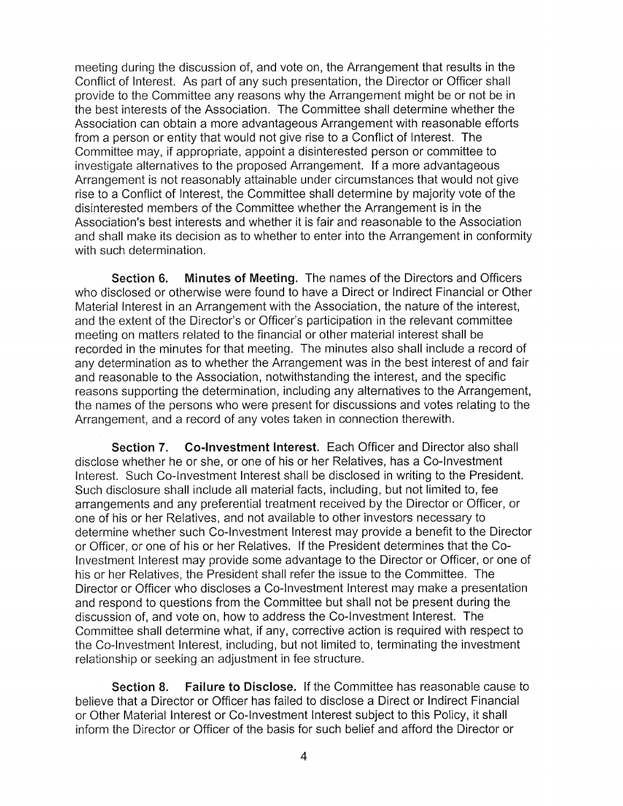meeting during the discussion of, and vote on, the Arrangement that results in the Conflict of Interest. As part of any such presentation, the Director or Officer shall provide to the Committee any reasons why the Arrangement might be or not be in the best interests of the Association. The Committee shall determine whether the Association can obtain a more advantageous Arrangement with reasonable efforts from a person or entity that would not give rise to a Conflict of Interest. The Committee may, if appropriate, appoint a disinterested person or committee to investigate alternatives to the proposed Arrangement. If a more advantageous Arrangement is not reasonably attainable under circumstances that would not give rise to a Conflict of Interest, the Committee shall determine by majority vote of the disinterested members of the Committee whether the Arrangement is in the Association's best interests and whether it is fair and reasonable to the Association and shall make its decision as to whether to enter into the Arrangement in conformity with such determination.

Minutes of Meeting. The names of the Directors and Officers Section 6. who disclosed or otherwise were found to have a Direct or Indirect Financial or Other Material Interest in an Arrangement with the Association, the nature of the interest, and the extent of the Director's or Officer's participation in the relevant committee meeting on matters related to the financial or other material interest shall be recorded in the minutes for that meeting. The minutes also shall include a record of any determination as to whether the Arrangement was in the best interest of and fair and reasonable to the Association, notwithstanding the interest, and the specific reasons supporting the determination, including any alternatives to the Arrangement, the names of the persons who were present for discussions and votes relating to the Arrangement, and a record of any votes taken in connection therewith.

Section 7. **Co-Investment Interest.** Each Officer and Director also shall disclose whether he or she, or one of his or her Relatives, has a Co-Investment Interest. Such Co-Investment Interest shall be disclosed in writing to the President. Such disclosure shall include all material facts, including, but not limited to, fee arrangements and any preferential treatment received by the Director or Officer, or one of his or her Relatives, and not available to other investors necessary to determine whether such Co-Investment Interest may provide a benefit to the Director or Officer, or one of his or her Relatives. If the President determines that the Co-Investment Interest may provide some advantage to the Director or Officer, or one of his or her Relatives, the President shall refer the issue to the Committee. The Director or Officer who discloses a Co-Investment Interest may make a presentation and respond to questions from the Committee but shall not be present during the discussion of, and vote on, how to address the Co-Investment Interest. The Committee shall determine what, if any, corrective action is required with respect to the Co-Investment Interest, including, but not limited to, terminating the investment relationship or seeking an adjustment in fee structure.

**Failure to Disclose.** If the Committee has reasonable cause to Section 8. believe that a Director or Officer has failed to disclose a Direct or Indirect Financial or Other Material Interest or Co-Investment Interest subject to this Policy, it shall inform the Director or Officer of the basis for such belief and afford the Director or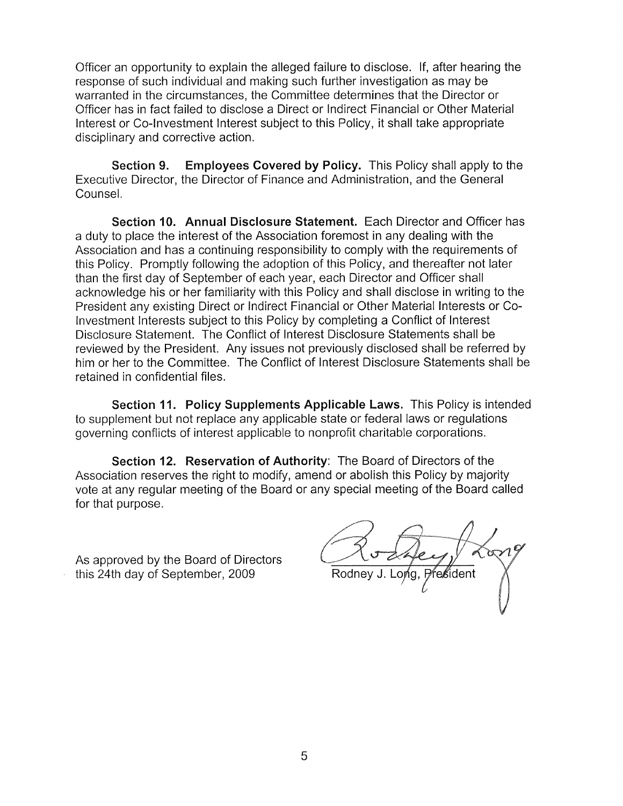Officer an opportunity to explain the alleged failure to disclose. If, after hearing the response of such individual and making such further investigation as may be warranted in the circumstances, the Committee determines that the Director or Officer has in fact failed to disclose a Direct or Indirect Financial or Other Material Interest or Co-Investment Interest subject to this Policy, it shall take appropriate disciplinary and corrective action.

**Employees Covered by Policy.** This Policy shall apply to the Section 9. Executive Director, the Director of Finance and Administration, and the General Counsel.

Section 10. Annual Disclosure Statement. Each Director and Officer has a duty to place the interest of the Association foremost in any dealing with the Association and has a continuing responsibility to comply with the requirements of this Policy. Promptly following the adoption of this Policy, and thereafter not later than the first day of September of each year, each Director and Officer shall acknowledge his or her familiarity with this Policy and shall disclose in writing to the President any existing Direct or Indirect Financial or Other Material Interests or Co-Investment Interests subject to this Policy by completing a Conflict of Interest Disclosure Statement. The Conflict of Interest Disclosure Statements shall be reviewed by the President. Any issues not previously disclosed shall be referred by him or her to the Committee. The Conflict of Interest Disclosure Statements shall be retained in confidential files.

Section 11. Policy Supplements Applicable Laws. This Policy is intended to supplement but not replace any applicable state or federal laws or regulations governing conflicts of interest applicable to nonprofit charitable corporations.

Section 12. Reservation of Authority: The Board of Directors of the Association reserves the right to modify, amend or abolish this Policy by majority vote at any regular meeting of the Board or any special meeting of the Board called for that purpose.

As approved by the Board of Directors this 24th day of September, 2009

P∕re≴ident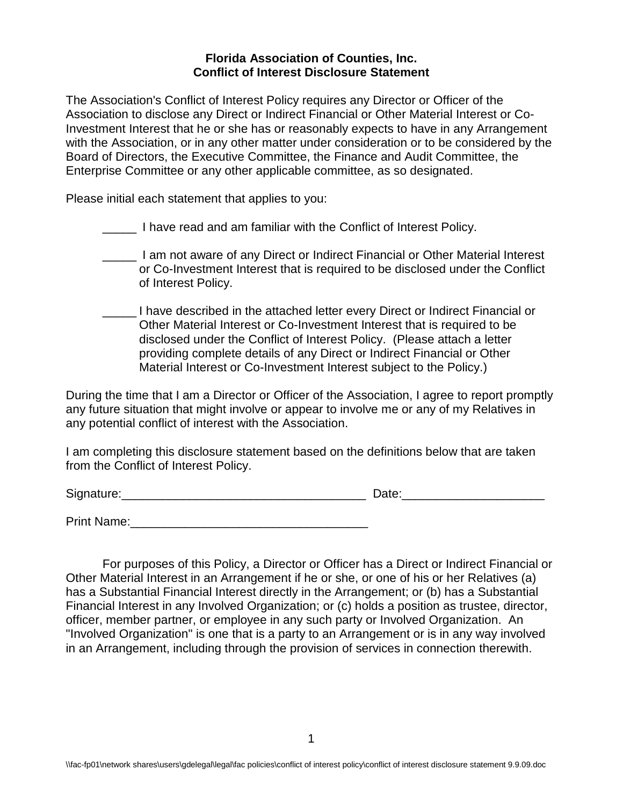## **Florida Association of Counties, Inc. Conflict of Interest Disclosure Statement**

The Association's Conflict of Interest Policy requires any Director or Officer of the Association to disclose any Direct or Indirect Financial or Other Material Interest or Co-Investment Interest that he or she has or reasonably expects to have in any Arrangement with the Association, or in any other matter under consideration or to be considered by the Board of Directors, the Executive Committee, the Finance and Audit Committee, the Enterprise Committee or any other applicable committee, as so designated.

Please initial each statement that applies to you:

\_\_\_\_\_ I have read and am familiar with the Conflict of Interest Policy.

- **\_\_\_\_\_** I am not aware of any Direct or Indirect Financial or Other Material Interest or Co-Investment Interest that is required to be disclosed under the Conflict of Interest Policy.
- \_\_\_\_\_ I have described in the attached letter every Direct or Indirect Financial or Other Material Interest or Co-Investment Interest that is required to be disclosed under the Conflict of Interest Policy. (Please attach a letter providing complete details of any Direct or Indirect Financial or Other Material Interest or Co-Investment Interest subject to the Policy.)

During the time that I am a Director or Officer of the Association, I agree to report promptly any future situation that might involve or appear to involve me or any of my Relatives in any potential conflict of interest with the Association.

I am completing this disclosure statement based on the definitions below that are taken from the Conflict of Interest Policy.

Signature:\_\_\_\_\_\_\_\_\_\_\_\_\_\_\_\_\_\_\_\_\_\_\_\_\_\_\_\_\_\_\_\_\_\_\_\_ Date:\_\_\_\_\_\_\_\_\_\_\_\_\_\_\_\_\_\_\_\_\_

Print Name:

For purposes of this Policy, a Director or Officer has a Direct or Indirect Financial or Other Material Interest in an Arrangement if he or she, or one of his or her Relatives (a) has a Substantial Financial Interest directly in the Arrangement; or (b) has a Substantial Financial Interest in any Involved Organization; or (c) holds a position as trustee, director, officer, member partner, or employee in any such party or Involved Organization. An "Involved Organization" is one that is a party to an Arrangement or is in any way involved in an Arrangement, including through the provision of services in connection therewith.